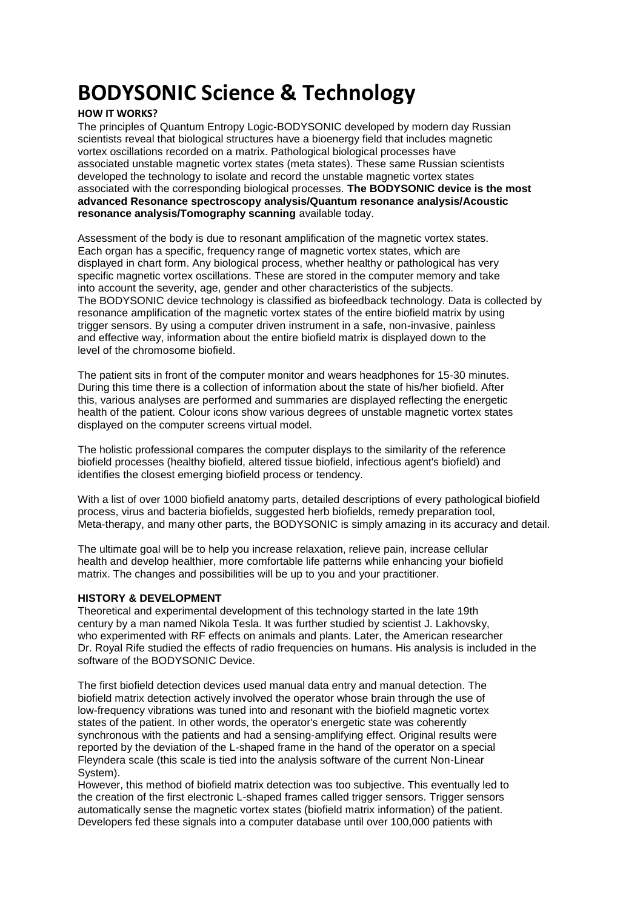## **BODYSONIC Science & Technology**

## **HOW IT WORKS?**

The principles of Quantum Entropy Logic-BODYSONIC developed by modern day Russian scientists reveal that biological structures have a bioenergy field that includes magnetic vortex oscillations recorded on a matrix. Pathological biological processes have associated unstable magnetic vortex states (meta states). These same Russian scientists developed the technology to isolate and record the unstable magnetic vortex states associated with the corresponding biological processes. **The BODYSONIC device is the most advanced Resonance spectroscopy analysis/Quantum resonance analysis/Acoustic resonance analysis/Tomography scanning** available today.

Assessment of the body is due to resonant amplification of the magnetic vortex states. Each organ has a specific, frequency range of magnetic vortex states, which are displayed in chart form. Any biological process, whether healthy or pathological has very specific magnetic vortex oscillations. These are stored in the computer memory and take into account the severity, age, gender and other characteristics of the subjects. The BODYSONIC device technology is classified as biofeedback technology. Data is collected by resonance amplification of the magnetic vortex states of the entire biofield matrix by using trigger sensors. By using a computer driven instrument in a safe, non-invasive, painless and effective way, information about the entire biofield matrix is displayed down to the level of the chromosome biofield.

The patient sits in front of the computer monitor and wears headphones for 15-30 minutes. During this time there is a collection of information about the state of his/her biofield. After this, various analyses are performed and summaries are displayed reflecting the energetic health of the patient. Colour icons show various degrees of unstable magnetic vortex states displayed on the computer screens virtual model.

The holistic professional compares the computer displays to the similarity of the reference biofield processes (healthy biofield, altered tissue biofield, infectious agent's biofield) and identifies the closest emerging biofield process or tendency.

With a list of over 1000 biofield anatomy parts, detailed descriptions of every pathological biofield process, virus and bacteria biofields, suggested herb biofields, remedy preparation tool, Meta-therapy, and many other parts, the BODYSONIC is simply amazing in its accuracy and detail.

The ultimate goal will be to help you increase relaxation, relieve pain, increase cellular health and develop healthier, more comfortable life patterns while enhancing your biofield matrix. The changes and possibilities will be up to you and your practitioner.

## **HISTORY & DEVELOPMENT**

Theoretical and experimental development of this technology started in the late 19th century by a man named Nikola Tesla. It was further studied by scientist J. Lakhovsky, who experimented with RF effects on animals and plants. Later, the American researcher Dr. Royal Rife studied the effects of radio frequencies on humans. His analysis is included in the software of the BODYSONIC Device.

The first biofield detection devices used manual data entry and manual detection. The biofield matrix detection actively involved the operator whose brain through the use of low-frequency vibrations was tuned into and resonant with the biofield magnetic vortex states of the patient. In other words, the operator's energetic state was coherently synchronous with the patients and had a sensing-amplifying effect. Original results were reported by the deviation of the L-shaped frame in the hand of the operator on a special Fleyndera scale (this scale is tied into the analysis software of the current Non-Linear System).

However, this method of biofield matrix detection was too subjective. This eventually led to the creation of the first electronic L-shaped frames called trigger sensors. Trigger sensors automatically sense the magnetic vortex states (biofield matrix information) of the patient. Developers fed these signals into a computer database until over 100,000 patients with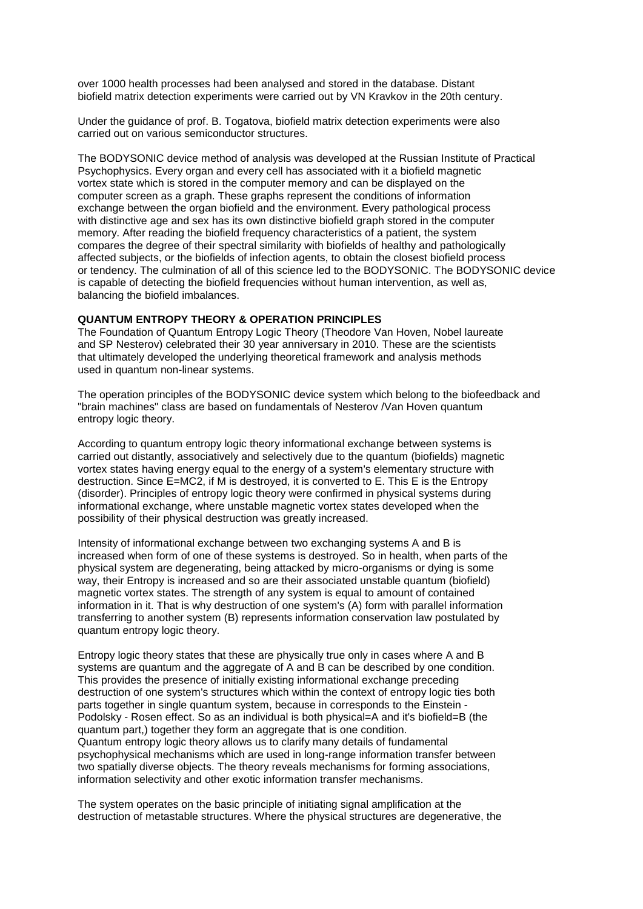over 1000 health processes had been analysed and stored in the database. Distant biofield matrix detection experiments were carried out by VN Kravkov in the 20th century.

Under the guidance of prof. B. Togatova, biofield matrix detection experiments were also carried out on various semiconductor structures.

The BODYSONIC device method of analysis was developed at the Russian Institute of Practical Psychophysics. Every organ and every cell has associated with it a biofield magnetic vortex state which is stored in the computer memory and can be displayed on the computer screen as a graph. These graphs represent the conditions of information exchange between the organ biofield and the environment. Every pathological process with distinctive age and sex has its own distinctive biofield graph stored in the computer memory. After reading the biofield frequency characteristics of a patient, the system compares the degree of their spectral similarity with biofields of healthy and pathologically affected subjects, or the biofields of infection agents, to obtain the closest biofield process or tendency. The culmination of all of this science led to the BODYSONIC. The BODYSONIC device is capable of detecting the biofield frequencies without human intervention, as well as, balancing the biofield imbalances.

## **QUANTUM ENTROPY THEORY & OPERATION PRINCIPLES**

The Foundation of Quantum Entropy Logic Theory (Theodore Van Hoven, Nobel laureate and SP Nesterov) celebrated their 30 year anniversary in 2010. These are the scientists that ultimately developed the underlying theoretical framework and analysis methods used in quantum non-linear systems.

The operation principles of the BODYSONIC device system which belong to the biofeedback and "brain machines" class are based on fundamentals of Nesterov /Van Hoven quantum entropy logic theory.

According to quantum entropy logic theory informational exchange between systems is carried out distantly, associatively and selectively due to the quantum (biofields) magnetic vortex states having energy equal to the energy of a system's elementary structure with destruction. Since E=MC2, if M is destroyed, it is converted to E. This E is the Entropy (disorder). Principles of entropy logic theory were confirmed in physical systems during informational exchange, where unstable magnetic vortex states developed when the possibility of their physical destruction was greatly increased.

Intensity of informational exchange between two exchanging systems A and B is increased when form of one of these systems is destroyed. So in health, when parts of the physical system are degenerating, being attacked by micro-organisms or dying is some way, their Entropy is increased and so are their associated unstable quantum (biofield) magnetic vortex states. The strength of any system is equal to amount of contained information in it. That is why destruction of one system's (A) form with parallel information transferring to another system (B) represents information conservation law postulated by quantum entropy logic theory.

Entropy logic theory states that these are physically true only in cases where A and B systems are quantum and the aggregate of A and B can be described by one condition. This provides the presence of initially existing informational exchange preceding destruction of one system's structures which within the context of entropy logic ties both parts together in single quantum system, because in corresponds to the Einstein - Podolsky - Rosen effect. So as an individual is both physical=A and it's biofield=B (the quantum part,) together they form an aggregate that is one condition. Quantum entropy logic theory allows us to clarify many details of fundamental psychophysical mechanisms which are used in long-range information transfer between two spatially diverse objects. The theory reveals mechanisms for forming associations, information selectivity and other exotic information transfer mechanisms.

The system operates on the basic principle of initiating signal amplification at the destruction of metastable structures. Where the physical structures are degenerative, the